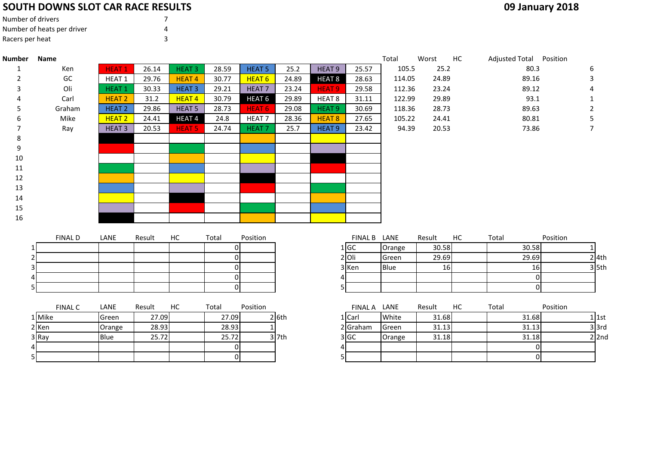## **SOUTH DOWNS SLOT CAR RACE RESULTS**

| Number of drivers          |   |
|----------------------------|---|
| Number of heats per driver | Δ |
| Racers per heat            |   |

5

| <b>Number</b> | Name           |                   |        |               |                |                   |         |                   |              | Total       | Worst  | HC | Adjusted Total Position |                |                |
|---------------|----------------|-------------------|--------|---------------|----------------|-------------------|---------|-------------------|--------------|-------------|--------|----|-------------------------|----------------|----------------|
| 1             | Ken            | <b>HEAT1</b>      | 26.14  | <b>HEAT 3</b> | 28.59          | <b>HEAT 5</b>     | 25.2    | HEAT <sub>9</sub> | 25.57        | 105.5       | 25.2   |    |                         | 80.3           | 6              |
| 2             | GC             | HEAT <sub>1</sub> | 29.76  | <b>HEAT4</b>  | 30.77          | <b>HEAT 6</b>     | 24.89   | HEAT <sub>8</sub> | 28.63        | 114.05      | 24.89  |    |                         | 89.16          | 3              |
|               | Oli            | <b>HEAT1</b>      | 30.33  | <b>HEAT 3</b> | 29.21          | <b>HEAT7</b>      | 23.24   | <b>HEAT 9</b>     | 29.58        | 112.36      | 23.24  |    |                         | 89.12          |                |
|               | Carl           | <b>HEAT 2</b>     | 31.2   | <b>HEAT4</b>  | 30.79          | HEAT <sub>6</sub> | 29.89   | HEAT <sub>8</sub> | 31.11        | 122.99      | 29.89  |    |                         | 93.1           |                |
|               | Graham         | <b>HEAT 2</b>     | 29.86  | <b>HEAT 5</b> | 28.73          | <b>HEAT 6</b>     | 29.08   | <b>HEAT 9</b>     | 30.69        | 118.36      | 28.73  |    |                         | 89.63          | 2              |
| 6             | Mike           | <b>HEAT 2</b>     | 24.41  | HEAT4         | 24.8           | HEAT <sub>7</sub> | 28.36   | <b>HEAT 8</b>     | 27.65        | 105.22      | 24.41  |    |                         | 80.81          | 5.             |
|               | Ray            | <b>HEAT3</b>      | 20.53  | <b>HEAT 5</b> | 24.74          | <b>HEAT7</b>      | 25.7    | <b>HEAT 9</b>     | 23.42        | 94.39       | 20.53  |    |                         | 73.86          | $\overline{7}$ |
| 8             |                |                   |        |               |                |                   |         |                   |              |             |        |    |                         |                |                |
| 9             |                |                   |        |               |                |                   |         |                   |              |             |        |    |                         |                |                |
| 10            |                |                   |        |               |                |                   |         |                   |              |             |        |    |                         |                |                |
| 11            |                |                   |        |               |                |                   |         |                   |              |             |        |    |                         |                |                |
| 12            |                |                   |        |               |                |                   |         |                   |              |             |        |    |                         |                |                |
| 13            |                |                   |        |               |                |                   |         |                   |              |             |        |    |                         |                |                |
| 14            |                |                   |        |               |                |                   |         |                   |              |             |        |    |                         |                |                |
| 15            |                |                   |        |               |                |                   |         |                   |              |             |        |    |                         |                |                |
| 16            |                |                   |        |               |                |                   |         |                   |              |             |        |    |                         |                |                |
|               |                |                   |        |               |                |                   |         |                   |              |             |        |    |                         |                |                |
|               | <b>FINAL D</b> | LANE              | Result | НC            | Total          | Position          |         |                   | FINAL B LANE |             | Result | HC | Total                   | Position       |                |
|               |                |                   |        |               | 0              |                   |         |                   | 1 GC         | Orange      | 30.58  |    |                         | 30.58          |                |
|               | $\overline{2}$ |                   |        |               | οI             |                   |         |                   | $2$ Oli      | Green       | 29.69  |    |                         | 29.69          | $2$ 4th        |
|               |                |                   |        |               | $\overline{0}$ |                   |         |                   | 3 Ken        | <b>Blue</b> | 16     |    |                         | 16             | $3$ 5th        |
| Δ             |                |                   |        |               | 0              |                   |         | 4                 |              |             |        |    |                         | $\overline{0}$ |                |
|               |                |                   |        |               | 0              |                   |         | 5                 |              |             |        |    |                         | $\overline{0}$ |                |
|               |                |                   |        |               |                |                   |         |                   |              |             |        |    |                         |                |                |
|               | <b>FINAL C</b> | LANE              | Result | HC            | Total          | Position          |         |                   | FINAL A LANE |             | Result | HC | Total                   | Position       |                |
|               | 1 Mike         | Green             | 27.09  |               | 27.09          |                   | $2$ 6th |                   | $1$ Carl     | White       | 31.68  |    |                         | 31.68          | $1$ 1st        |
|               | 2 Ken          | Orange            | 28.93  |               | 28.93          |                   |         |                   | 2 Graham     | Green       | 31.13  |    |                         | 31.13          | $3$ 3rd        |
|               | 3 Ray          | Blue              | 25.72  |               | 25.72          |                   | $3$ 7th |                   | 3 GC         | Orange      | 31.18  |    |                         | 31.18          | $2$  2nd       |
|               |                |                   |        |               | $\overline{0}$ |                   |         | 4                 |              |             |        |    |                         | $\overline{0}$ |                |

<sup>0</sup> <sup>5</sup> <sup>0</sup>